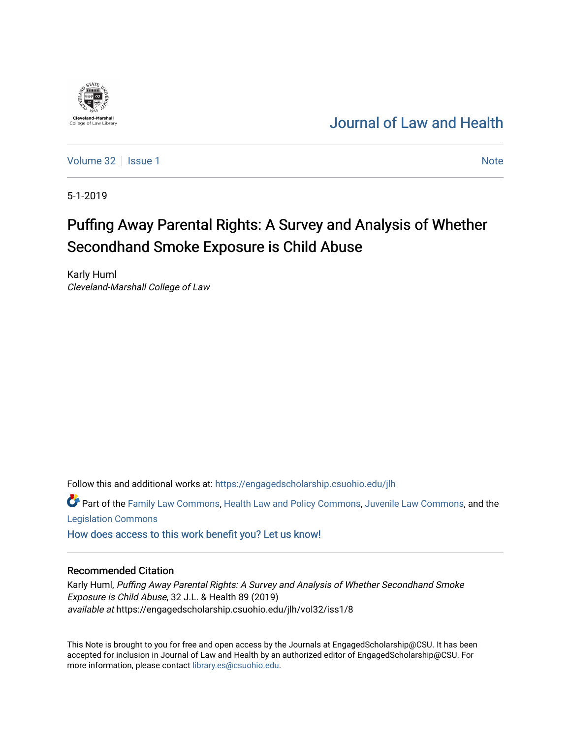# [Journal of Law and Health](https://engagedscholarship.csuohio.edu/jlh)

[Volume 32](https://engagedscholarship.csuohio.edu/jlh/vol32) | [Issue 1](https://engagedscholarship.csuohio.edu/jlh/vol32/iss1) Note

5-1-2019

**Cleveland-Marshall**<br>College of Law Libra

# Puffing Away Parental Rights: A Survey and Analysis of Whether Secondhand Smoke Exposure is Child Abuse

Karly Huml Cleveland-Marshall College of Law

Follow this and additional works at: [https://engagedscholarship.csuohio.edu/jlh](https://engagedscholarship.csuohio.edu/jlh?utm_source=engagedscholarship.csuohio.edu%2Fjlh%2Fvol32%2Fiss1%2F8&utm_medium=PDF&utm_campaign=PDFCoverPages) 

Part of the [Family Law Commons,](http://network.bepress.com/hgg/discipline/602?utm_source=engagedscholarship.csuohio.edu%2Fjlh%2Fvol32%2Fiss1%2F8&utm_medium=PDF&utm_campaign=PDFCoverPages) [Health Law and Policy Commons](http://network.bepress.com/hgg/discipline/901?utm_source=engagedscholarship.csuohio.edu%2Fjlh%2Fvol32%2Fiss1%2F8&utm_medium=PDF&utm_campaign=PDFCoverPages), [Juvenile Law Commons,](http://network.bepress.com/hgg/discipline/851?utm_source=engagedscholarship.csuohio.edu%2Fjlh%2Fvol32%2Fiss1%2F8&utm_medium=PDF&utm_campaign=PDFCoverPages) and the [Legislation Commons](http://network.bepress.com/hgg/discipline/859?utm_source=engagedscholarship.csuohio.edu%2Fjlh%2Fvol32%2Fiss1%2F8&utm_medium=PDF&utm_campaign=PDFCoverPages)

[How does access to this work benefit you? Let us know!](http://library.csuohio.edu/engaged/)

# Recommended Citation

Karly Huml, Puffing Away Parental Rights: A Survey and Analysis of Whether Secondhand Smoke Exposure is Child Abuse, 32 J.L. & Health 89 (2019) available at https://engagedscholarship.csuohio.edu/jlh/vol32/iss1/8

This Note is brought to you for free and open access by the Journals at EngagedScholarship@CSU. It has been accepted for inclusion in Journal of Law and Health by an authorized editor of EngagedScholarship@CSU. For more information, please contact [library.es@csuohio.edu](mailto:library.es@csuohio.edu).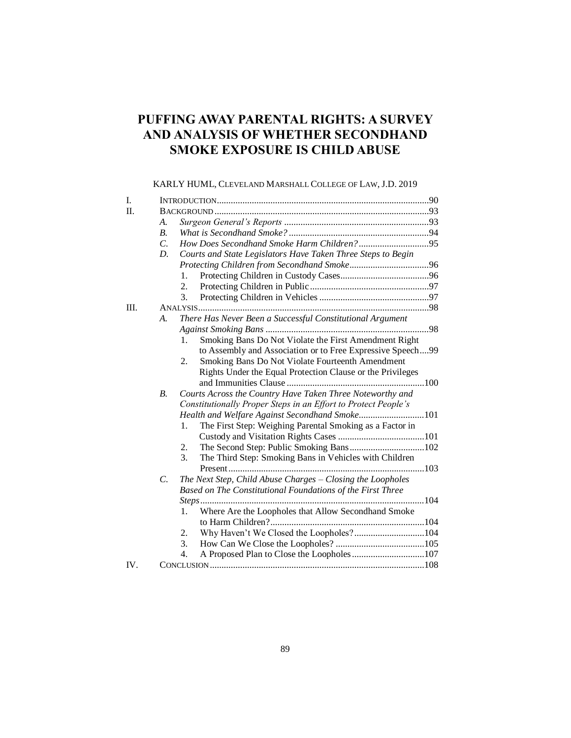# **PUFFING AWAY PARENTAL RIGHTS: A SURVEY AND ANALYSIS OF WHETHER SECONDHAND SMOKE EXPOSURE IS CHILD ABUSE**

# KARLY HUML, CLEVELAND MARSHALL COLLEGE OF LAW, J.D. 2019

| I.   |                 |                                                                            |  |
|------|-----------------|----------------------------------------------------------------------------|--|
| Π.   |                 |                                                                            |  |
|      | А.              |                                                                            |  |
|      | B <sub>1</sub>  |                                                                            |  |
|      | $\mathcal{C}$ . |                                                                            |  |
|      | D.              | Courts and State Legislators Have Taken Three Steps to Begin               |  |
|      |                 |                                                                            |  |
|      |                 | 1.                                                                         |  |
|      |                 | 2.                                                                         |  |
|      |                 | 3.                                                                         |  |
| III. |                 |                                                                            |  |
|      | А.              | There Has Never Been a Successful Constitutional Argument                  |  |
|      |                 |                                                                            |  |
|      |                 | Smoking Bans Do Not Violate the First Amendment Right<br>1.                |  |
|      |                 | to Assembly and Association or to Free Expressive Speech99                 |  |
|      |                 | 2.<br>Smoking Bans Do Not Violate Fourteenth Amendment                     |  |
|      |                 | Rights Under the Equal Protection Clause or the Privileges                 |  |
|      |                 |                                                                            |  |
|      | $B$ .           | Courts Across the Country Have Taken Three Noteworthy and                  |  |
|      |                 | Constitutionally Proper Steps in an Effort to Protect People's             |  |
|      |                 | Health and Welfare Against Secondhand Smoke101                             |  |
|      |                 | The First Step: Weighing Parental Smoking as a Factor in<br>$\mathbf{1}$ . |  |
|      |                 |                                                                            |  |
|      |                 | 2.                                                                         |  |
|      |                 | 3.<br>The Third Step: Smoking Bans in Vehicles with Children               |  |
|      |                 |                                                                            |  |
|      | C.              | The Next Step, Child Abuse Charges - Closing the Loopholes                 |  |
|      |                 | Based on The Constitutional Foundations of the First Three                 |  |
|      |                 |                                                                            |  |
|      |                 | Where Are the Loopholes that Allow Secondhand Smoke<br>1.                  |  |
|      |                 |                                                                            |  |
|      |                 | Why Haven't We Closed the Loopholes?104<br>2.                              |  |
|      |                 | 3.                                                                         |  |
|      |                 | 4.                                                                         |  |
| IV.  |                 |                                                                            |  |
|      |                 |                                                                            |  |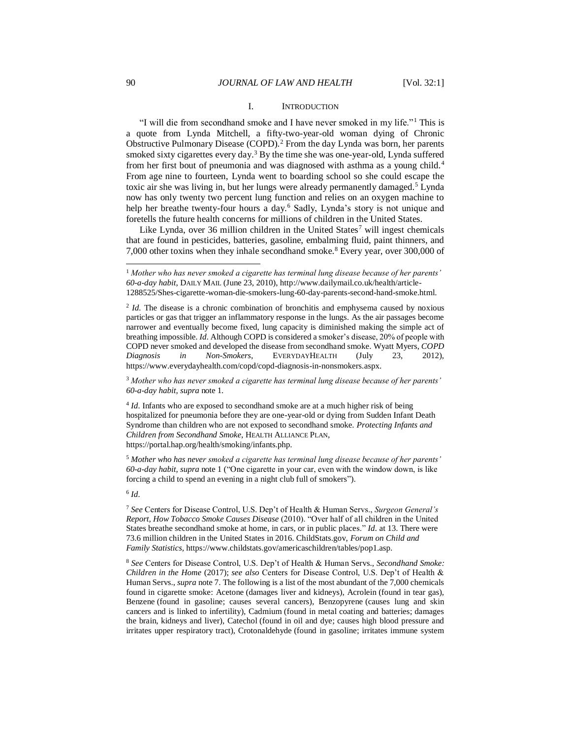#### I. INTRODUCTION

"I will die from secondhand smoke and I have never smoked in my life."<sup>1</sup> This is a quote from Lynda Mitchell, a fifty-two-year-old woman dying of Chronic Obstructive Pulmonary Disease (COPD).<sup>2</sup> From the day Lynda was born, her parents smoked sixty cigarettes every day.<sup>3</sup> By the time she was one-year-old, Lynda suffered from her first bout of pneumonia and was diagnosed with asthma as a young child.<sup>4</sup> From age nine to fourteen, Lynda went to boarding school so she could escape the toxic air she was living in, but her lungs were already permanently damaged.<sup>5</sup> Lynda now has only twenty two percent lung function and relies on an oxygen machine to help her breathe twenty-four hours a day.<sup>6</sup> Sadly, Lynda's story is not unique and foretells the future health concerns for millions of children in the United States.

Like Lynda, over 36 million children in the United States<sup>7</sup> will ingest chemicals that are found in pesticides, batteries, gasoline, embalming fluid, paint thinners, and 7,000 other toxins when they inhale secondhand smoke.<sup>8</sup> Every year, over 300,000 of

<sup>3</sup> *Mother who has never smoked a cigarette has terminal lung disease because of her parents' 60-a-day habit*, *supra* note 1*.* 

<sup>4</sup> *Id*. Infants who are exposed to secondhand smoke are at a much higher risk of being hospitalized for pneumonia before they are one-year-old or dying from Sudden Infant Death Syndrome than children who are not exposed to secondhand smoke. *Protecting Infants and Children from Secondhand Smoke*, HEALTH ALLIANCE PLAN, https://portal.hap.org/health/smoking/infants.php.

<sup>5</sup> *Mother who has never smoked a cigarette has terminal lung disease because of her parents' 60-a-day habit*, *supra* note 1 ("One cigarette in your car, even with the window down, is like forcing a child to spend an evening in a night club full of smokers").

6 *Id.* 

<sup>1</sup> *Mother who has never smoked a cigarette has terminal lung disease because of her parents' 60-a-day habit*, DAILY MAIL (June 23, 2010), http://www.dailymail.co.uk/health/article-1288525/Shes-cigarette-woman-die-smokers-lung-60-day-parents-second-hand-smoke.html.

<sup>&</sup>lt;sup>2</sup> *Id.* The disease is a chronic combination of bronchitis and emphysema caused by noxious particles or gas that trigger an inflammatory response in the lungs. As the air passages become narrower and eventually become fixed, lung capacity is diminished making the simple act of breathing impossible. *Id.* Although COPD is considered a smoker's disease, 20% of people with COPD never smoked and developed the disease from secondhand smoke. Wyatt Myers, *COPD Diagnosis in Non-Smokers*, EVERYDAYHEALTH (July 23, 2012), https://www.everydayhealth.com/copd/copd-diagnosis-in-nonsmokers.aspx.

<sup>7</sup> *See* Centers for Disease Control, U.S. Dep't of Health & Human Servs., *Surgeon General's Report, How Tobacco Smoke Causes Disease* (2010). "Over half of all children in the United States breathe secondhand smoke at home, in cars, or in public places." *Id.* at 13. There were 73.6 million children in the United States in 2016. ChildStats.gov, *Forum on Child and Family Statistics,* https://www.childstats.gov/americaschildren/tables/pop1.asp.

<sup>8</sup> *See* Centers for Disease Control, U.S. Dep't of Health & Human Servs., *Secondhand Smoke: Children in the Home* (2017); *see also* Centers for Disease Control, U.S. Dep't of Health & Human Servs., *supra* note 7. The following is a list of the most abundant of the 7,000 chemicals found in cigarette smoke: Acetone (damages liver and kidneys), Acrolein (found in tear gas), Benzene (found in gasoline; causes several cancers), Benzopyrene (causes lung and skin cancers and is linked to infertility), Cadmium (found in metal coating and batteries; damages the brain, kidneys and liver), Catechol (found in oil and dye; causes high blood pressure and irritates upper respiratory tract), Crotonaldehyde (found in gasoline; irritates immune system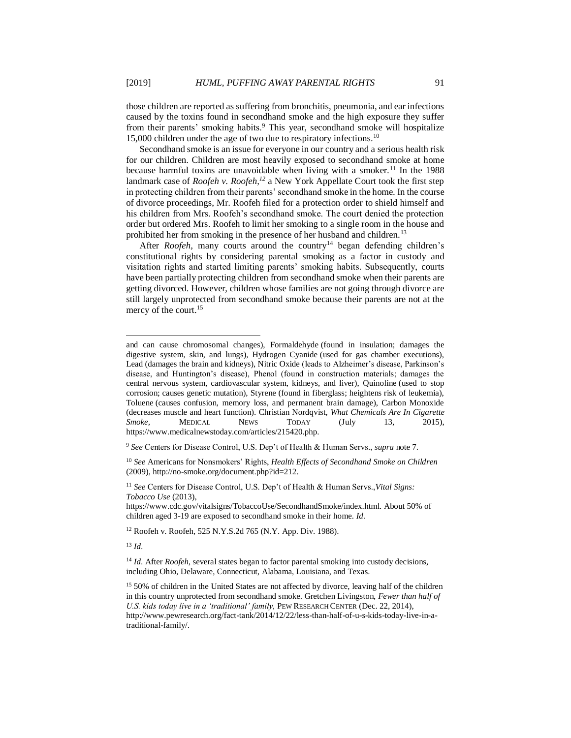those children are reported as suffering from bronchitis, pneumonia, and ear infections caused by the toxins found in secondhand smoke and the high exposure they suffer from their parents' smoking habits.<sup>9</sup> This year, secondhand smoke will hospitalize 15,000 children under the age of two due to respiratory infections.<sup>10</sup>

Secondhand smoke is an issue for everyone in our country and a serious health risk for our children. Children are most heavily exposed to secondhand smoke at home because harmful toxins are unavoidable when living with a smoker.<sup>11</sup> In the 1988 landmark case of *Roofeh v. Roofeh,<sup>12</sup>* a New York Appellate Court took the first step in protecting children from their parents' secondhand smoke in the home. In the course of divorce proceedings, Mr. Roofeh filed for a protection order to shield himself and his children from Mrs. Roofeh's secondhand smoke. The court denied the protection order but ordered Mrs. Roofeh to limit her smoking to a single room in the house and prohibited her from smoking in the presence of her husband and children.<sup>13</sup>

After *Roofeh*, many courts around the country<sup>14</sup> began defending children's constitutional rights by considering parental smoking as a factor in custody and visitation rights and started limiting parents' smoking habits. Subsequently, courts have been partially protecting children from secondhand smoke when their parents are getting divorced. However, children whose families are not going through divorce are still largely unprotected from secondhand smoke because their parents are not at the mercy of the court.<sup>15</sup>

 $^{13}$  *Id.* 

and can cause chromosomal changes), Formaldehyde (found in insulation; damages the digestive system, skin, and lungs), Hydrogen Cyanide (used for gas chamber executions), Lead (damages the brain and kidneys), Nitric Oxide (leads to Alzheimer's disease, Parkinson's disease, and Huntington's disease), Phenol (found in construction materials; damages the central nervous system, cardiovascular system, kidneys, and liver), Quinoline (used to stop corrosion; causes genetic mutation), Styrene (found in fiberglass; heightens risk of leukemia), Toluene (causes confusion, memory loss, and permanent brain damage), Carbon Monoxide (decreases muscle and heart function). Christian Nordqvist, *What Chemicals Are In Cigarette Smoke,* MEDICAL NEWS TODAY (July 13, 2015), https://www.medicalnewstoday.com/articles/215420.php.

<sup>9</sup> *See* Centers for Disease Control, U.S. Dep't of Health & Human Servs., *supra* note 7.

<sup>10</sup> *See* Americans for Nonsmokers' Rights, *Health Effects of Secondhand Smoke on Children* (2009), http://no-smoke.org/document.php?id=212.

<sup>11</sup> *See* Centers for Disease Control, U.S. Dep't of Health & Human Servs.,*Vital Signs: Tobacco Use* (2013),

https://www.cdc.gov/vitalsigns/TobaccoUse/SecondhandSmoke/index.html. About 50% of children aged 3-19 are exposed to secondhand smoke in their home. *Id.* 

<sup>12</sup> Roofeh v. Roofeh*,* 525 N.Y.S.2d 765 (N.Y. App. Div. 1988).

<sup>&</sup>lt;sup>14</sup> *Id.* After *Roofeh*, several states began to factor parental smoking into custody decisions, including Ohio, Delaware, Connecticut, Alabama, Louisiana, and Texas.

<sup>&</sup>lt;sup>15</sup> 50% of children in the United States are not affected by divorce, leaving half of the children in this country unprotected from secondhand smoke. Gretchen Livingston, *Fewer than half of U.S. kids today live in a 'traditional' family,* PEW RESEARCH CENTER (Dec. 22, 2014), http://www.pewresearch.org/fact-tank/2014/12/22/less-than-half-of-u-s-kids-today-live-in-atraditional-family/.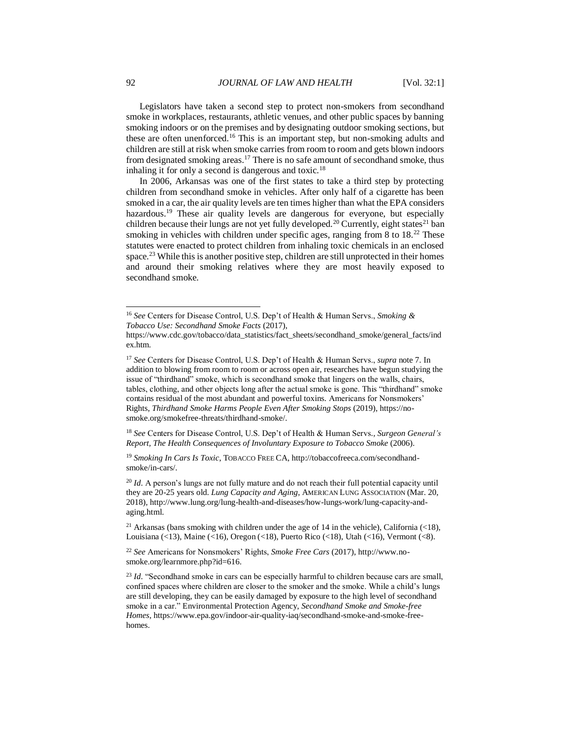Legislators have taken a second step to protect non-smokers from secondhand smoke in workplaces, restaurants, athletic venues, and other public spaces by banning smoking indoors or on the premises and by designating outdoor smoking sections, but these are often unenforced.<sup>16</sup> This is an important step, but non-smoking adults and children are still at risk when smoke carries from room to room and gets blown indoors from designated smoking areas.<sup>17</sup> There is no safe amount of secondhand smoke, thus inhaling it for only a second is dangerous and toxic.<sup>18</sup>

In 2006, Arkansas was one of the first states to take a third step by protecting children from secondhand smoke in vehicles. After only half of a cigarette has been smoked in a car, the air quality levels are ten times higher than what the EPA considers hazardous.<sup>19</sup> These air quality levels are dangerous for everyone, but especially children because their lungs are not yet fully developed.<sup>20</sup> Currently, eight states<sup>21</sup> ban smoking in vehicles with children under specific ages, ranging from 8 to 18.<sup>22</sup> These statutes were enacted to protect children from inhaling toxic chemicals in an enclosed space.<sup>23</sup> While this is another positive step, children are still unprotected in their homes and around their smoking relatives where they are most heavily exposed to secondhand smoke.

<sup>18</sup> *See* Centers for Disease Control, U.S. Dep't of Health & Human Servs*., Surgeon General's Report, The Health Consequences of Involuntary Exposure to Tobacco Smoke* (2006).

<sup>19</sup> *Smoking In Cars Is Toxic*, TOBACCO FREE CA, http://tobaccofreeca.com/secondhandsmoke/in-cars/.

<sup>20</sup> *Id.* A person's lungs are not fully mature and do not reach their full potential capacity until they are 20-25 years old. *Lung Capacity and Aging*, AMERICAN LUNG ASSOCIATION (Mar. 20, 2018)*,* http://www.lung.org/lung-health-and-diseases/how-lungs-work/lung-capacity-andaging.html.

<sup>21</sup> Arkansas (bans smoking with children under the age of 14 in the vehicle), California  $\left($  <18), Louisiana (<13), Maine (<16), Oregon (<18), Puerto Rico (<18), Utah (<16), Vermont (<8).

<sup>22</sup> *See* Americans for Nonsmokers' Rights, *Smoke Free Cars* (2017), http://www.nosmoke.org/learnmore.php?id=616.

<sup>23</sup> *Id.* "Secondhand smoke in cars can be especially harmful to children because cars are small, confined spaces where children are closer to the smoker and the smoke. While a child's lungs are still developing, they can be easily damaged by exposure to the high level of secondhand smoke in a car." Environmental Protection Agency, *Secondhand Smoke and Smoke-free Homes*, https://www.epa.gov/indoor-air-quality-iaq/secondhand-smoke-and-smoke-freehomes.

<sup>16</sup> *See* Centers for Disease Control, U.S. Dep't of Health & Human Servs., *Smoking & Tobacco Use: Secondhand Smoke Facts* (2017),

https://www.cdc.gov/tobacco/data\_statistics/fact\_sheets/secondhand\_smoke/general\_facts/ind ex.htm.

<sup>17</sup> *See* Centers for Disease Control, U.S. Dep't of Health & Human Servs., *supra* note 7. In addition to blowing from room to room or across open air, researches have begun studying the issue of "thirdhand" smoke, which is secondhand smoke that lingers on the walls, chairs, tables, clothing, and other objects long after the actual smoke is gone. This "thirdhand" smoke contains residual of the most abundant and powerful toxins. Americans for Nonsmokers' Rights, *Thirdhand Smoke Harms People Even After Smoking Stops* (2019), https://nosmoke.org/smokefree-threats/thirdhand-smoke/.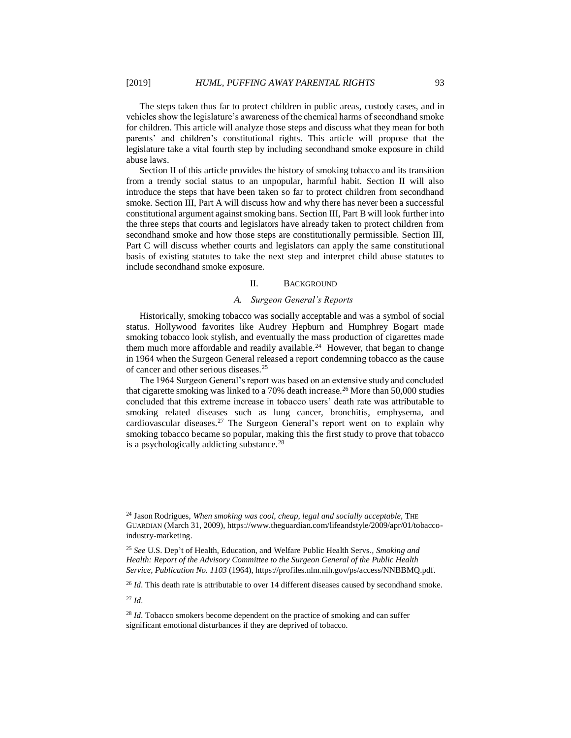The steps taken thus far to protect children in public areas, custody cases, and in vehicles show the legislature's awareness of the chemical harms of secondhand smoke for children. This article will analyze those steps and discuss what they mean for both parents' and children's constitutional rights. This article will propose that the legislature take a vital fourth step by including secondhand smoke exposure in child abuse laws.

Section II of this article provides the history of smoking tobacco and its transition from a trendy social status to an unpopular, harmful habit. Section II will also introduce the steps that have been taken so far to protect children from secondhand smoke. Section III, Part A will discuss how and why there has never been a successful constitutional argument against smoking bans. Section III, Part B will look further into the three steps that courts and legislators have already taken to protect children from secondhand smoke and how those steps are constitutionally permissible. Section III, Part C will discuss whether courts and legislators can apply the same constitutional basis of existing statutes to take the next step and interpret child abuse statutes to include secondhand smoke exposure.

#### II. BACKGROUND

#### *A. Surgeon General's Reports*

Historically, smoking tobacco was socially acceptable and was a symbol of social status. Hollywood favorites like Audrey Hepburn and Humphrey Bogart made smoking tobacco look stylish, and eventually the mass production of cigarettes made them much more affordable and readily available.<sup>24</sup> However, that began to change in 1964 when the Surgeon General released a report condemning tobacco as the cause of cancer and other serious diseases.<sup>25</sup>

The 1964 Surgeon General's report was based on an extensive study and concluded that cigarette smoking was linked to a 70% death increase.<sup>26</sup> More than 50,000 studies concluded that this extreme increase in tobacco users' death rate was attributable to smoking related diseases such as lung cancer, bronchitis, emphysema, and cardiovascular diseases.<sup>27</sup> The Surgeon General's report went on to explain why smoking tobacco became so popular, making this the first study to prove that tobacco is a psychologically addicting substance.<sup>28</sup>

 $^{27}$  *Id.* 

<sup>&</sup>lt;sup>24</sup> Jason Rodrigues, *When smoking was cool, cheap, legal and socially acceptable*, THE GUARDIAN (March 31, 2009), https://www.theguardian.com/lifeandstyle/2009/apr/01/tobaccoindustry-marketing.

<sup>25</sup> *See* U.S. Dep't of Health, Education, and Welfare Public Health Servs.*, Smoking and Health: Report of the Advisory Committee to the Surgeon General of the Public Health Service, Publication No. 1103* (1964), https://profiles.nlm.nih.gov/ps/access/NNBBMQ.pdf.

<sup>&</sup>lt;sup>26</sup> *Id.* This death rate is attributable to over 14 different diseases caused by secondhand smoke.

<sup>&</sup>lt;sup>28</sup> *Id*. Tobacco smokers become dependent on the practice of smoking and can suffer significant emotional disturbances if they are deprived of tobacco.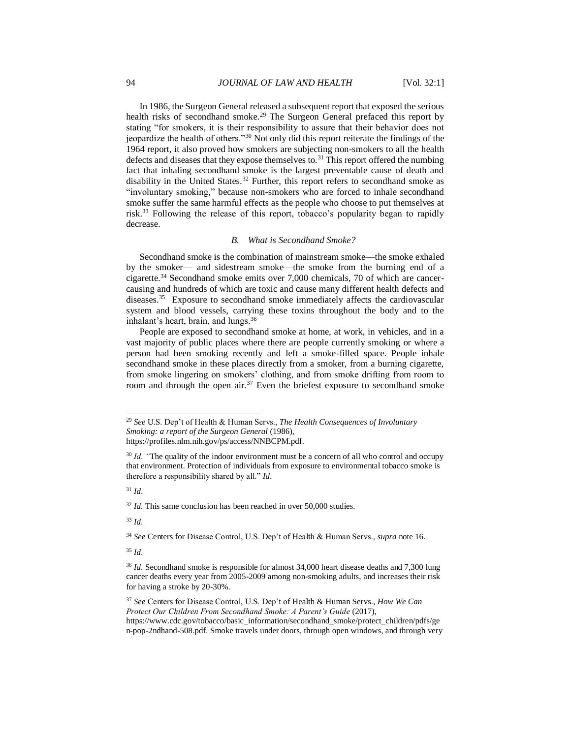In 1986, the Surgeon General released a subsequent report that exposed the serious health risks of secondhand smoke.<sup>29</sup> The Surgeon General prefaced this report by stating "for smokers, it is their responsibility to assure that their behavior does not jeopardize the health of others."<sup>30</sup> Not only did this report reiterate the findings of the 1964 report, it also proved how smokers are subjecting non-smokers to all the health defects and diseases that they expose themselves to.<sup>31</sup> This report offered the numbing fact that inhaling secondhand smoke is the largest preventable cause of death and disability in the United States.<sup>32</sup> Further, this report refers to secondhand smoke as "involuntary smoking," because non-smokers who are forced to inhale secondhand smoke suffer the same harmful effects as the people who choose to put themselves at risk.<sup>33</sup> Following the release of this report, tobacco's popularity began to rapidly decrease.

### *B. What is Secondhand Smoke?*

Secondhand smoke is the combination of mainstream smoke—the smoke exhaled by the smoker— and sidestream smoke—the smoke from the burning end of a cigarette.<sup>34</sup> Secondhand smoke emits over 7,000 chemicals, 70 of which are cancercausing and hundreds of which are toxic and cause many different health defects and diseases.<sup>35</sup> Exposure to secondhand smoke immediately affects the cardiovascular system and blood vessels, carrying these toxins throughout the body and to the inhalant's heart, brain, and lungs.<sup>36</sup>

People are exposed to secondhand smoke at home, at work, in vehicles, and in a vast majority of public places where there are people currently smoking or where a person had been smoking recently and left a smoke-filled space. People inhale secondhand smoke in these places directly from a smoker, from a burning cigarette, from smoke lingering on smokers' clothing, and from smoke drifting from room to room and through the open air.<sup>37</sup> Even the briefest exposure to secondhand smoke

<sup>31</sup> *Id.* 

l

<sup>32</sup> *Id.* This same conclusion has been reached in over 50,000 studies.

<sup>33</sup> *Id.* 

<sup>34</sup> *See* Centers for Disease Control, U.S. Dep't of Health & Human Servs., *supra* note 16.

<sup>29</sup> *See* U.S. Dep't of Health & Human Servs., *The Health Consequences of Involuntary Smoking: a report of the Surgeon General* (1986), https://profiles.nlm.nih.gov/ps/access/NNBCPM.pdf.

<sup>&</sup>lt;sup>30</sup> *Id.* "The quality of the indoor environment must be a concern of all who control and occupy that environment. Protection of individuals from exposure to environmental tobacco smoke is therefore a responsibility shared by all." *Id.* 

<sup>&</sup>lt;sup>36</sup> *Id.* Secondhand smoke is responsible for almost 34,000 heart disease deaths and 7,300 lung cancer deaths every year from 2005-2009 among non-smoking adults, and increases their risk for having a stroke by 20-30%.

<sup>37</sup> *See* Centers for Disease Control, U.S. Dep't of Health & Human Servs., *How We Can Protect Our Children From Secondhand Smoke: A Parent's Guide* (2017), https://www.cdc.gov/tobacco/basic\_information/secondhand\_smoke/protect\_children/pdfs/ge n-pop-2ndhand-508.pdf. Smoke travels under doors, through open windows, and through very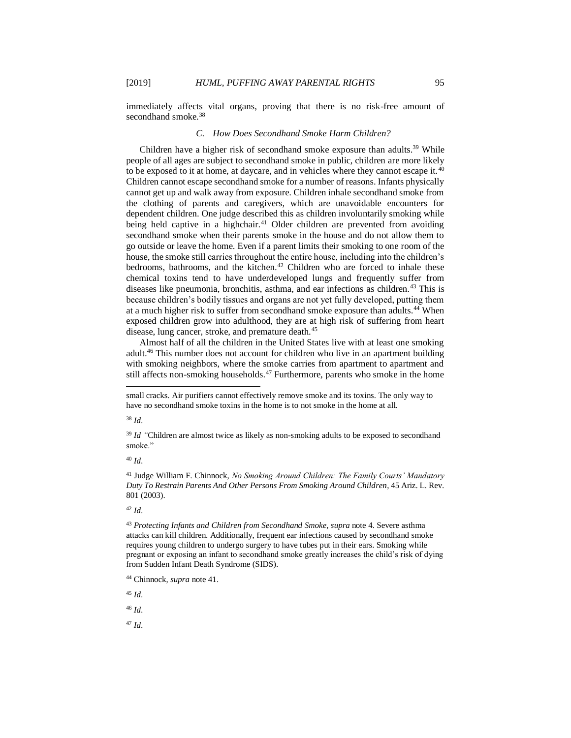immediately affects vital organs, proving that there is no risk-free amount of secondhand smoke.<sup>38</sup>

#### *C. How Does Secondhand Smoke Harm Children?*

Children have a higher risk of secondhand smoke exposure than adults.<sup>39</sup> While people of all ages are subject to secondhand smoke in public, children are more likely to be exposed to it at home, at daycare, and in vehicles where they cannot escape it.<sup>40</sup> Children cannot escape secondhand smoke for a number of reasons. Infants physically cannot get up and walk away from exposure. Children inhale secondhand smoke from the clothing of parents and caregivers, which are unavoidable encounters for dependent children. One judge described this as children involuntarily smoking while being held captive in a highchair.<sup>41</sup> Older children are prevented from avoiding secondhand smoke when their parents smoke in the house and do not allow them to go outside or leave the home. Even if a parent limits their smoking to one room of the house, the smoke still carries throughout the entire house, including into the children's bedrooms, bathrooms, and the kitchen.<sup>42</sup> Children who are forced to inhale these chemical toxins tend to have underdeveloped lungs and frequently suffer from diseases like pneumonia, bronchitis, asthma, and ear infections as children.<sup>43</sup> This is because children's bodily tissues and organs are not yet fully developed, putting them at a much higher risk to suffer from secondhand smoke exposure than adults.<sup>44</sup> When exposed children grow into adulthood, they are at high risk of suffering from heart disease, lung cancer, stroke, and premature death.<sup>45</sup>

Almost half of all the children in the United States live with at least one smoking adult.<sup>46</sup> This number does not account for children who live in an apartment building with smoking neighbors, where the smoke carries from apartment to apartment and still affects non-smoking households.<sup>47</sup> Furthermore, parents who smoke in the home

<sup>38</sup> *Id.*

l

<sup>40</sup> *Id.* 

<sup>41</sup> Judge William F. Chinnock, *No Smoking Around Children: The Family Courts' Mandatory Duty To Restrain Parents And Other Persons From Smoking Around Children*, 45 Ariz. L. Rev. 801 (2003).

 $42$  *Id.* 

<sup>43</sup> Protecting Infants and Children from Secondhand Smoke, supra note 4. Severe asthma attacks can kill children. Additionally, frequent ear infections caused by secondhand smoke requires young children to undergo surgery to have tubes put in their ears. Smoking while pregnant or exposing an infant to secondhand smoke greatly increases the child's risk of dying from Sudden Infant Death Syndrome (SIDS).

<sup>45</sup> *Id.* 

<sup>46</sup> *Id.* 

small cracks. Air purifiers cannot effectively remove smoke and its toxins. The only way to have no secondhand smoke toxins in the home is to not smoke in the home at all.

<sup>&</sup>lt;sup>39</sup> *Id* "Children are almost twice as likely as non-smoking adults to be exposed to secondhand smoke."

<sup>44</sup> Chinnock, *supra* note 41.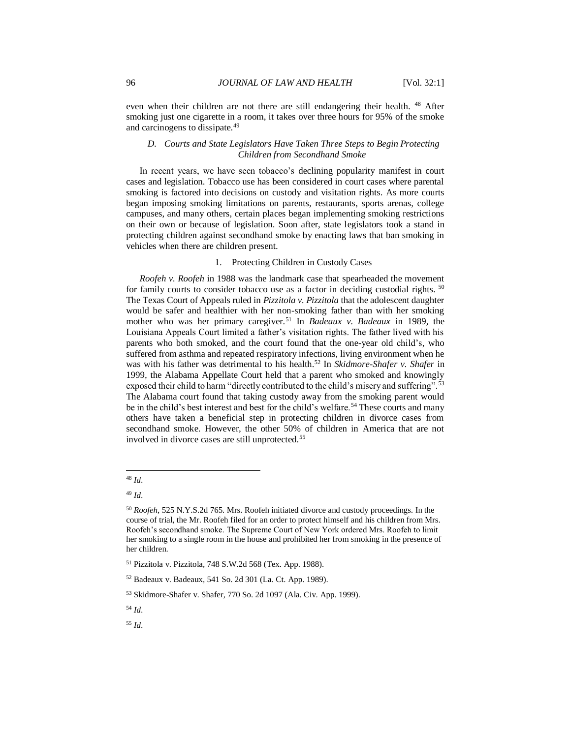even when their children are not there are still endangering their health. <sup>48</sup> After smoking just one cigarette in a room, it takes over three hours for 95% of the smoke and carcinogens to dissipate.<sup>49</sup>

# *D. Courts and State Legislators Have Taken Three Steps to Begin Protecting Children from Secondhand Smoke*

In recent years, we have seen tobacco's declining popularity manifest in court cases and legislation. Tobacco use has been considered in court cases where parental smoking is factored into decisions on custody and visitation rights. As more courts began imposing smoking limitations on parents, restaurants, sports arenas, college campuses, and many others, certain places began implementing smoking restrictions on their own or because of legislation. Soon after, state legislators took a stand in protecting children against secondhand smoke by enacting laws that ban smoking in vehicles when there are children present.

#### 1. Protecting Children in Custody Cases

*Roofeh v. Roofeh* in 1988 was the landmark case that spearheaded the movement for family courts to consider tobacco use as a factor in deciding custodial rights. <sup>50</sup> The Texas Court of Appeals ruled in *Pizzitola v. Pizzitola* that the adolescent daughter would be safer and healthier with her non-smoking father than with her smoking mother who was her primary caregiver.<sup>51</sup> In *Badeaux v. Badeaux* in 1989*,* the Louisiana Appeals Court limited a father's visitation rights. The father lived with his parents who both smoked, and the court found that the one-year old child's, who suffered from asthma and repeated respiratory infections, living environment when he was with his father was detrimental to his health. <sup>52</sup> In *Skidmore-Shafer v. Shafer* in 1999*,* the Alabama Appellate Court held that a parent who smoked and knowingly exposed their child to harm "directly contributed to the child's misery and suffering".<sup>53</sup> The Alabama court found that taking custody away from the smoking parent would be in the child's best interest and best for the child's welfare.<sup>54</sup> These courts and many others have taken a beneficial step in protecting children in divorce cases from secondhand smoke. However, the other 50% of children in America that are not involved in divorce cases are still unprotected.<sup>55</sup>

<sup>48</sup> *Id.* 

<sup>49</sup> *Id.* 

<sup>50</sup> *Roofeh*, 525 N.Y.S.2d 765*.* Mrs. Roofeh initiated divorce and custody proceedings. In the course of trial, the Mr. Roofeh filed for an order to protect himself and his children from Mrs. Roofeh's secondhand smoke. The Supreme Court of New York ordered Mrs. Roofeh to limit her smoking to a single room in the house and prohibited her from smoking in the presence of her children.

<sup>51</sup> Pizzitola v. Pizzitola*,* 748 S.W.2d 568 (Tex. App. 1988).

<sup>52</sup> Badeaux v. Badeaux*,* 541 So. 2d 301 (La. Ct. App. 1989).

<sup>53</sup> Skidmore-Shafer v. Shafer*,* 770 So. 2d 1097 (Ala. Civ. App. 1999).

<sup>54</sup> *Id.*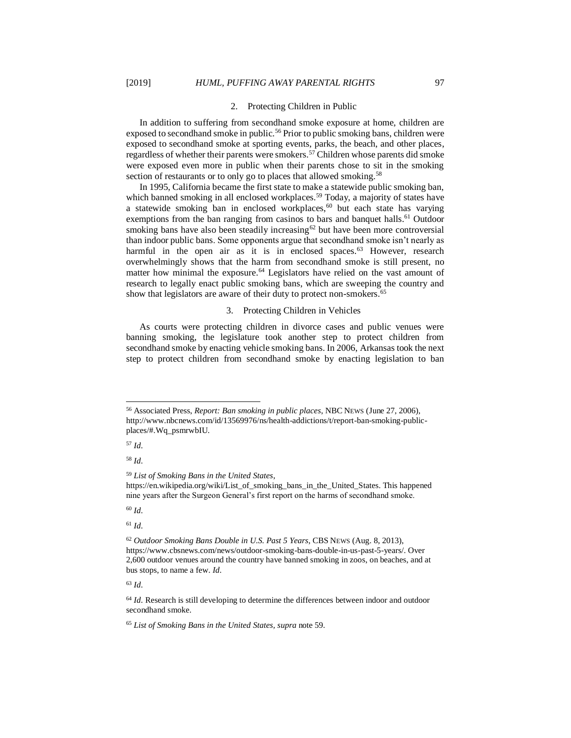#### 2. Protecting Children in Public

In addition to suffering from secondhand smoke exposure at home, children are exposed to secondhand smoke in public.<sup>56</sup> Prior to public smoking bans, children were exposed to secondhand smoke at sporting events, parks, the beach, and other places, regardless of whether their parents were smokers.<sup>57</sup> Children whose parents did smoke were exposed even more in public when their parents chose to sit in the smoking section of restaurants or to only go to places that allowed smoking.<sup>58</sup>

In 1995, California became the first state to make a statewide public smoking ban, which banned smoking in all enclosed workplaces.<sup>59</sup> Today, a majority of states have a statewide smoking ban in enclosed workplaces,<sup>60</sup> but each state has varying exemptions from the ban ranging from casinos to bars and banquet halls.<sup>61</sup> Outdoor smoking bans have also been steadily increasing $62$  but have been more controversial than indoor public bans. Some opponents argue that secondhand smoke isn't nearly as harmful in the open air as it is in enclosed spaces.<sup>63</sup> However, research overwhelmingly shows that the harm from secondhand smoke is still present, no matter how minimal the exposure. <sup>64</sup> Legislators have relied on the vast amount of research to legally enact public smoking bans, which are sweeping the country and show that legislators are aware of their duty to protect non-smokers.<sup>65</sup>

#### 3. Protecting Children in Vehicles

As courts were protecting children in divorce cases and public venues were banning smoking, the legislature took another step to protect children from secondhand smoke by enacting vehicle smoking bans. In 2006, Arkansas took the next step to protect children from secondhand smoke by enacting legislation to ban

<sup>57</sup> *Id.* 

l

<sup>58</sup> *Id.* 

<sup>60</sup> *Id.* 

<sup>61</sup> *Id.* 

<sup>56</sup> Associated Press, *Report: Ban smoking in public places*, NBC NEWS (June 27, 2006), http://www.nbcnews.com/id/13569976/ns/health-addictions/t/report-ban-smoking-publicplaces/#.Wq\_psmrwbIU.

<sup>59</sup> *List of Smoking Bans in the United States*, https://en.wikipedia.org/wiki/List\_of\_smoking\_bans\_in\_the\_United\_States. This happened nine years after the Surgeon General's first report on the harms of secondhand smoke.

<sup>62</sup> *Outdoor Smoking Bans Double in U.S. Past 5 Years*, CBS NEWS (Aug. 8, 2013), https://www.cbsnews.com/news/outdoor-smoking-bans-double-in-us-past-5-years/. Over 2,600 outdoor venues around the country have banned smoking in zoos, on beaches, and at bus stops, to name a few. *Id.* 

<sup>&</sup>lt;sup>64</sup> *Id.* Research is still developing to determine the differences between indoor and outdoor secondhand smoke.

<sup>65</sup> *List of Smoking Bans in the United States, supra* note 59.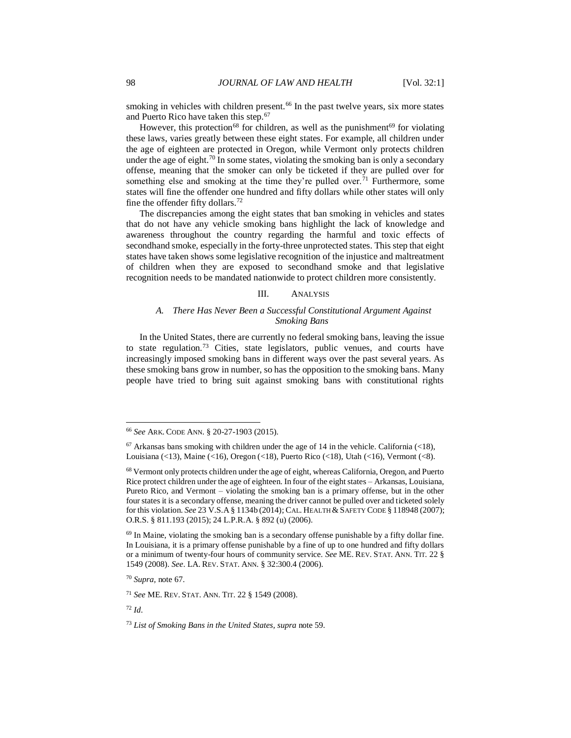smoking in vehicles with children present.<sup>66</sup> In the past twelve years, six more states and Puerto Rico have taken this step.<sup>67</sup>

However, this protection<sup>68</sup> for children, as well as the punishment<sup>69</sup> for violating these laws, varies greatly between these eight states. For example, all children under the age of eighteen are protected in Oregon, while Vermont only protects children under the age of eight.<sup>70</sup> In some states, violating the smoking ban is only a secondary offense, meaning that the smoker can only be ticketed if they are pulled over for something else and smoking at the time they're pulled over.<sup>71</sup> Furthermore, some states will fine the offender one hundred and fifty dollars while other states will only fine the offender fifty dollars.<sup>72</sup>

The discrepancies among the eight states that ban smoking in vehicles and states that do not have any vehicle smoking bans highlight the lack of knowledge and awareness throughout the country regarding the harmful and toxic effects of secondhand smoke, especially in the forty-three unprotected states. This step that eight states have taken shows some legislative recognition of the injustice and maltreatment of children when they are exposed to secondhand smoke and that legislative recognition needs to be mandated nationwide to protect children more consistently.

#### III. ANALYSIS

# *A. There Has Never Been a Successful Constitutional Argument Against Smoking Bans*

In the United States, there are currently no federal smoking bans, leaving the issue to state regulation.<sup>73</sup> Cities, state legislators, public venues, and courts have increasingly imposed smoking bans in different ways over the past several years. As these smoking bans grow in number, so has the opposition to the smoking bans. Many people have tried to bring suit against smoking bans with constitutional rights

<sup>66</sup> *See* ARK. CODE ANN. § 20-27-1903 (2015).

 $67$  Arkansas bans smoking with children under the age of 14 in the vehicle. California (<18), Louisiana (<13), Maine (<16), Oregon (<18), Puerto Rico (<18), Utah (<16), Vermont (<8).

<sup>&</sup>lt;sup>68</sup> Vermont only protects children under the age of eight, whereas California, Oregon, and Puerto Rice protect children under the age of eighteen. In four of the eight states – Arkansas, Louisiana, Pureto Rico, and Vermont – violating the smoking ban is a primary offense, but in the other four states it is a secondary offense, meaning the driver cannot be pulled over and ticketed solely for this violation. *See* 23 V.S.A § 1134b (2014); CAL. HEALTH & SAFETY CODE § 118948 (2007); O.R.S. § 811.193 (2015); 24 L.P.R.A. § 892 (u) (2006).

 $69$  In Maine, violating the smoking ban is a secondary offense punishable by a fifty dollar fine. In Louisiana, it is a primary offense punishable by a fine of up to one hundred and fifty dollars or a minimum of twenty-four hours of community service. *See* ME. REV. STAT. ANN. TIT. 22 § 1549 (2008). *See*. LA. REV. STAT. ANN. § 32:300.4 (2006).

<sup>70</sup> *Supra,* note 67.

<sup>71</sup> *See* ME. REV. STAT. ANN. TIT. 22 § 1549 (2008).

<sup>72</sup> *Id.* 

<sup>73</sup> *List of Smoking Bans in the United States, supra* note 59.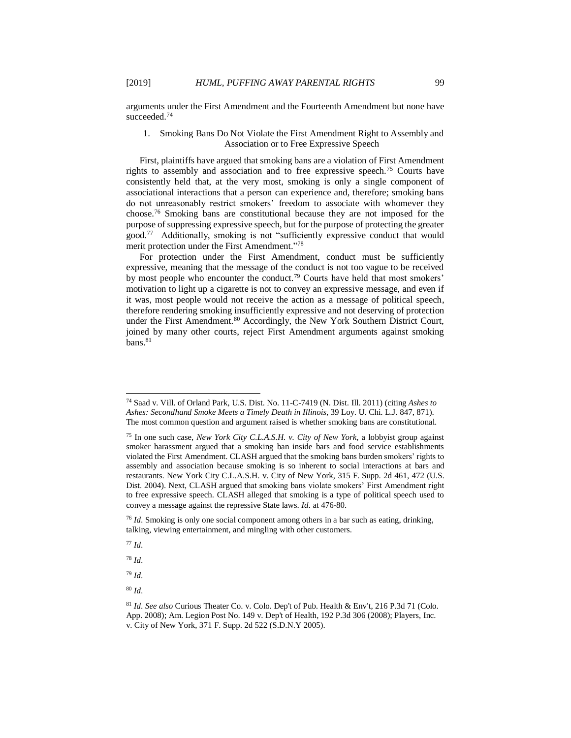arguments under the First Amendment and the Fourteenth Amendment but none have succeeded.<sup>74</sup>

# 1. Smoking Bans Do Not Violate the First Amendment Right to Assembly and Association or to Free Expressive Speech

First, plaintiffs have argued that smoking bans are a violation of First Amendment rights to assembly and association and to free expressive speech.<sup>75</sup> Courts have consistently held that, at the very most, smoking is only a single component of associational interactions that a person can experience and, therefore; smoking bans do not unreasonably restrict smokers' freedom to associate with whomever they choose.<sup>76</sup> Smoking bans are constitutional because they are not imposed for the purpose of suppressing expressive speech, but for the purpose of protecting the greater good.<sup>77</sup> Additionally, smoking is not "sufficiently expressive conduct that would merit protection under the First Amendment."78

For protection under the First Amendment, conduct must be sufficiently expressive, meaning that the message of the conduct is not too vague to be received by most people who encounter the conduct.<sup>79</sup> Courts have held that most smokers' motivation to light up a cigarette is not to convey an expressive message, and even if it was, most people would not receive the action as a message of political speech, therefore rendering smoking insufficiently expressive and not deserving of protection under the First Amendment.<sup>80</sup> Accordingly, the New York Southern District Court, joined by many other courts, reject First Amendment arguments against smoking  $bans.<sup>81</sup>$ 

<sup>77</sup> *Id.* 

<sup>78</sup> *Id.* 

<sup>79</sup> *Id.* 

l <sup>74</sup> Saad v. Vill. of Orland Park, U.S. Dist. No. 11-C-7419 (N. Dist. Ill. 2011) (citing *Ashes to Ashes: Secondhand Smoke Meets a Timely Death in Illinois*, 39 Loy. U. Chi. L.J. 847, 871). The most common question and argument raised is whether smoking bans are constitutional.

<sup>75</sup> In one such case, *New York City C.L.A.S.H. v. City of New York,* a lobbyist group against smoker harassment argued that a smoking ban inside bars and food service establishments violated the First Amendment. CLASH argued that the smoking bans burden smokers' rights to assembly and association because smoking is so inherent to social interactions at bars and restaurants. New York City C.L.A.S.H. v. City of New York, 315 F. Supp. 2d 461, 472 (U.S. Dist. 2004). Next, CLASH argued that smoking bans violate smokers' First Amendment right to free expressive speech. CLASH alleged that smoking is a type of political speech used to convey a message against the repressive State laws. *Id.* at 476-80.

<sup>76</sup> *Id.* Smoking is only one social component among others in a bar such as eating, drinking, talking, viewing entertainment, and mingling with other customers.

<sup>81</sup> *Id. See also* Curious Theater Co. v. Colo. Dep't of Pub. Health & Env't, 216 P.3d 71 (Colo. App. 2008); Am. Legion Post No. 149 v. Dep't of Health, 192 P.3d 306 (2008); Players, Inc. v. City of New York, 371 F. Supp. 2d 522 (S.D.N.Y 2005).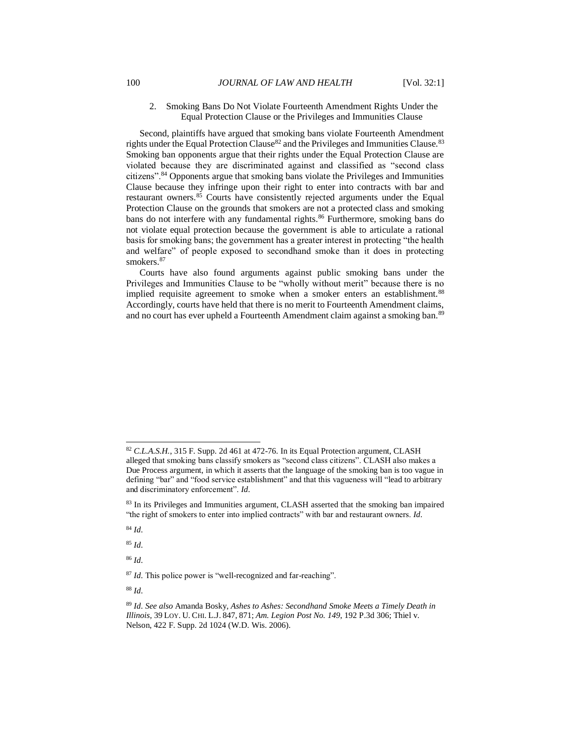2. Smoking Bans Do Not Violate Fourteenth Amendment Rights Under the Equal Protection Clause or the Privileges and Immunities Clause

Second, plaintiffs have argued that smoking bans violate Fourteenth Amendment rights under the Equal Protection Clause<sup>82</sup> and the Privileges and Immunities Clause.<sup>83</sup> Smoking ban opponents argue that their rights under the Equal Protection Clause are violated because they are discriminated against and classified as "second class citizens".<sup>84</sup> Opponents argue that smoking bans violate the Privileges and Immunities Clause because they infringe upon their right to enter into contracts with bar and restaurant owners.<sup>85</sup> Courts have consistently rejected arguments under the Equal Protection Clause on the grounds that smokers are not a protected class and smoking bans do not interfere with any fundamental rights.<sup>86</sup> Furthermore, smoking bans do not violate equal protection because the government is able to articulate a rational basis for smoking bans; the government has a greater interest in protecting "the health and welfare" of people exposed to secondhand smoke than it does in protecting smokers.<sup>87</sup>

Courts have also found arguments against public smoking bans under the Privileges and Immunities Clause to be "wholly without merit" because there is no implied requisite agreement to smoke when a smoker enters an establishment.<sup>88</sup> Accordingly, courts have held that there is no merit to Fourteenth Amendment claims, and no court has ever upheld a Fourteenth Amendment claim against a smoking ban.<sup>89</sup>

<sup>84</sup> *Id.* 

l

<sup>85</sup> *Id.* 

<sup>86</sup> *Id.* 

<sup>87</sup> *Id.* This police power is "well-recognized and far-reaching".

<sup>82</sup> *C.L.A.S.H.*, 315 F. Supp. 2d 461 at 472-76. In its Equal Protection argument, CLASH alleged that smoking bans classify smokers as "second class citizens". CLASH also makes a Due Process argument, in which it asserts that the language of the smoking ban is too vague in defining "bar" and "food service establishment" and that this vagueness will "lead to arbitrary and discriminatory enforcement". *Id.* 

<sup>83</sup> In its Privileges and Immunities argument, CLASH asserted that the smoking ban impaired "the right of smokers to enter into implied contracts" with bar and restaurant owners. *Id.* 

<sup>89</sup> *Id. See also* Amanda Bosky, *Ashes to Ashes: Secondhand Smoke Meets a Timely Death in Illinois*, 39 LOY. U. CHI. L.J. 847, 871; *Am. Legion Post No. 149*, 192 P.3d 306; Thiel v. Nelson, 422 F. Supp. 2d 1024 (W.D. Wis. 2006).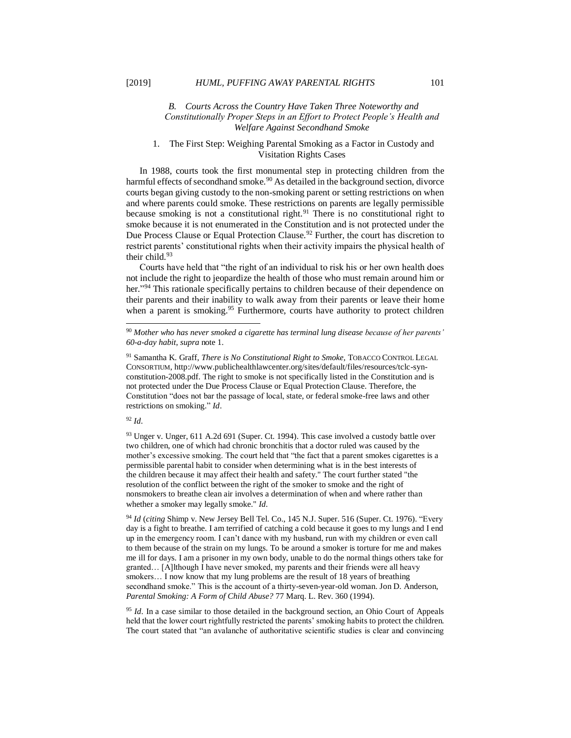### *B. Courts Across the Country Have Taken Three Noteworthy and Constitutionally Proper Steps in an Effort to Protect People's Health and Welfare Against Secondhand Smoke*

# 1. The First Step: Weighing Parental Smoking as a Factor in Custody and Visitation Rights Cases

In 1988, courts took the first monumental step in protecting children from the harmful effects of secondhand smoke.<sup>90</sup> As detailed in the background section, divorce courts began giving custody to the non-smoking parent or setting restrictions on when and where parents could smoke. These restrictions on parents are legally permissible because smoking is not a constitutional right.<sup>91</sup> There is no constitutional right to smoke because it is not enumerated in the Constitution and is not protected under the Due Process Clause or Equal Protection Clause.<sup>92</sup> Further, the court has discretion to restrict parents' constitutional rights when their activity impairs the physical health of their child.<sup>93</sup>

Courts have held that "the right of an individual to risk his or her own health does not include the right to jeopardize the health of those who must remain around him or her."<sup>94</sup> This rationale specifically pertains to children because of their dependence on their parents and their inability to walk away from their parents or leave their home when a parent is smoking.<sup>95</sup> Furthermore, courts have authority to protect children

# <sup>92</sup> *Id.*

l

93 Unger v. Unger, 611 A.2d 691 (Super. Ct. 1994). This case involved a custody battle over two children, one of which had chronic bronchitis that a doctor ruled was caused by the mother's excessive smoking. The court held that "the fact that a parent smokes cigarettes is a permissible parental habit to consider when determining what is in the best interests of the children because it may affect their health and safety." The court further stated "the resolution of the conflict between the right of the smoker to smoke and the right of nonsmokers to breathe clean air involves a determination of when and where rather than whether a smoker may legally smoke." *Id.* 

<sup>94</sup> *Id* (*citing* Shimp v. New Jersey Bell Tel. Co., 145 N.J. Super. 516 (Super. Ct. 1976). "Every day is a fight to breathe. I am terrified of catching a cold because it goes to my lungs and I end up in the emergency room. I can't dance with my husband, run with my children or even call to them because of the strain on my lungs. To be around a smoker is torture for me and makes me ill for days. I am a prisoner in my own body, unable to do the normal things others take for granted… [A]lthough I have never smoked, my parents and their friends were all heavy smokers... I now know that my lung problems are the result of 18 years of breathing secondhand smoke." This is the account of a thirty-seven-year-old woman. Jon D. Anderson, *Parental Smoking: A Form of Child Abuse?* 77 Marq. L. Rev. 360 (1994).

<sup>95</sup> *Id.* In a case similar to those detailed in the background section, an Ohio Court of Appeals held that the lower court rightfully restricted the parents' smoking habits to protect the children. The court stated that "an avalanche of authoritative scientific studies is clear and convincing

<sup>90</sup> *Mother who has never smoked a cigarette has terminal lung disease because of her parents' 60-a-day habit*, *supra* note 1.

<sup>91</sup> Samantha K. Graff, *There is No Constitutional Right to Smoke,* TOBACCO CONTROL LEGAL CONSORTIUM, http://www.publichealthlawcenter.org/sites/default/files/resources/tclc-synconstitution-2008.pdf. The right to smoke is not specifically listed in the Constitution and is not protected under the Due Process Clause or Equal Protection Clause. Therefore, the Constitution "does not bar the passage of local, state, or federal smoke-free laws and other restrictions on smoking." *Id*.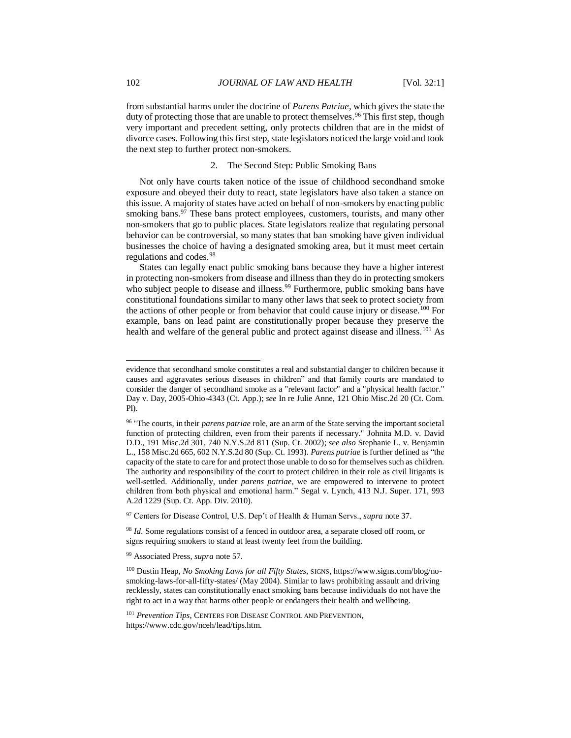from substantial harms under the doctrine of *Parens Patriae*, which gives the state the duty of protecting those that are unable to protect themselves.<sup>96</sup> This first step, though very important and precedent setting, only protects children that are in the midst of divorce cases. Following this first step, state legislators noticed the large void and took the next step to further protect non-smokers.

#### 2. The Second Step: Public Smoking Bans

Not only have courts taken notice of the issue of childhood secondhand smoke exposure and obeyed their duty to react, state legislators have also taken a stance on this issue. A majority of states have acted on behalf of non-smokers by enacting public smoking bans.<sup>97</sup> These bans protect employees, customers, tourists, and many other non-smokers that go to public places. State legislators realize that regulating personal behavior can be controversial, so many states that ban smoking have given individual businesses the choice of having a designated smoking area, but it must meet certain regulations and codes.<sup>98</sup>

States can legally enact public smoking bans because they have a higher interest in protecting non-smokers from disease and illness than they do in protecting smokers who subject people to disease and illness.<sup>99</sup> Furthermore, public smoking bans have constitutional foundations similar to many other laws that seek to protect society from the actions of other people or from behavior that could cause injury or disease.<sup>100</sup> For example, bans on lead paint are constitutionally proper because they preserve the health and welfare of the general public and protect against disease and illness.<sup>101</sup> As

evidence that secondhand smoke constitutes a real and substantial danger to children because it causes and aggravates serious diseases in children" and that family courts are mandated to consider the danger of secondhand smoke as a "relevant factor" and a "physical health factor." Day v. Day, 2005-Ohio-4343 (Ct. App.); *see* In re Julie Anne, 121 Ohio Misc.2d 20 (Ct. Com. Pl).

<sup>96</sup> "The courts, in their *parens patriae* role, are an arm of the State serving the important societal function of protecting children, even from their parents if necessary." Johnita M.D. v. David D.D., 191 Misc.2d 301, 740 N.Y.S.2d 811 (Sup. Ct. 2002); *see also* Stephanie L. v. Benjamin L., 158 Misc.2d 665, 602 N.Y.S.2d 80 (Sup. Ct. 1993). *Parens patriae* is further defined as "the capacity of the state to care for and protect those unable to do so for themselves such as children. The authority and responsibility of the court to protect children in their role as civil litigants is well-settled. Additionally, under *parens patriae*, we are empowered to intervene to protect children from both physical and emotional harm." Segal v. Lynch, 413 N.J. Super. 171, 993 A.2d 1229 (Sup. Ct. App. Div. 2010).

<sup>97</sup> Centers for Disease Control, U.S. Dep't of Health & Human Servs., *supra* note 37.

<sup>&</sup>lt;sup>98</sup> *Id.* Some regulations consist of a fenced in outdoor area, a separate closed off room, or signs requiring smokers to stand at least twenty feet from the building.

<sup>99</sup> Associated Press, *supra* note 57.

<sup>100</sup> Dustin Heap, *No Smoking Laws for all Fifty States,* SIGNS, https://www.signs.com/blog/nosmoking-laws-for-all-fifty-states/ (May 2004). Similar to laws prohibiting assault and driving recklessly, states can constitutionally enact smoking bans because individuals do not have the right to act in a way that harms other people or endangers their health and wellbeing.

<sup>101</sup> *Prevention Tips*, CENTERS FOR DISEASE CONTROL AND PREVENTION, https://www.cdc.gov/nceh/lead/tips.htm.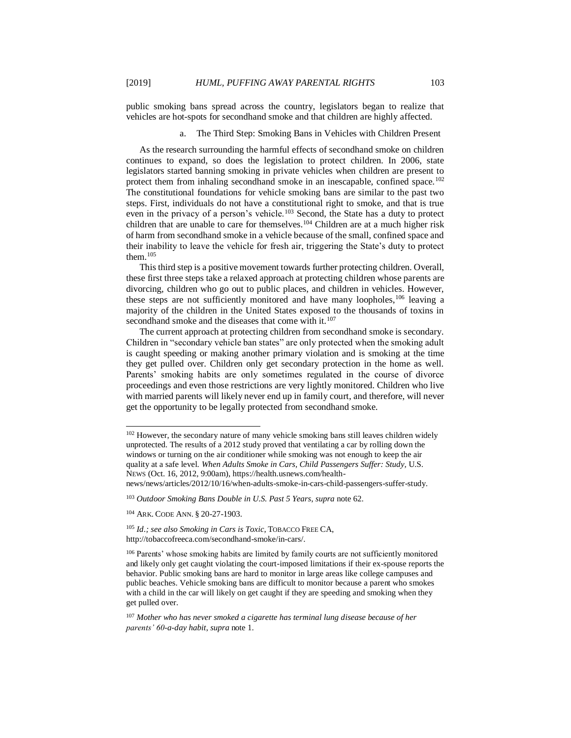public smoking bans spread across the country, legislators began to realize that vehicles are hot-spots for secondhand smoke and that children are highly affected.

#### a. The Third Step: Smoking Bans in Vehicles with Children Present

As the research surrounding the harmful effects of secondhand smoke on children continues to expand, so does the legislation to protect children. In 2006, state legislators started banning smoking in private vehicles when children are present to protect them from inhaling secondhand smoke in an inescapable, confined space.<sup>102</sup> The constitutional foundations for vehicle smoking bans are similar to the past two steps. First, individuals do not have a constitutional right to smoke, and that is true even in the privacy of a person's vehicle.<sup>103</sup> Second, the State has a duty to protect children that are unable to care for themselves.<sup>104</sup> Children are at a much higher risk of harm from secondhand smoke in a vehicle because of the small, confined space and their inability to leave the vehicle for fresh air, triggering the State's duty to protect them.<sup>105</sup>

This third step is a positive movement towards further protecting children. Overall, these first three steps take a relaxed approach at protecting children whose parents are divorcing, children who go out to public places, and children in vehicles. However, these steps are not sufficiently monitored and have many loopholes,<sup>106</sup> leaving a majority of the children in the United States exposed to the thousands of toxins in secondhand smoke and the diseases that come with it.<sup>107</sup>

The current approach at protecting children from secondhand smoke is secondary. Children in "secondary vehicle ban states" are only protected when the smoking adult is caught speeding or making another primary violation and is smoking at the time they get pulled over. Children only get secondary protection in the home as well. Parents' smoking habits are only sometimes regulated in the course of divorce proceedings and even those restrictions are very lightly monitored. Children who live with married parents will likely never end up in family court, and therefore, will never get the opportunity to be legally protected from secondhand smoke.

<sup>&</sup>lt;sup>102</sup> However, the secondary nature of many vehicle smoking bans still leaves children widely unprotected. The results of a 2012 study proved that ventilating a car by rolling down the windows or turning on the air conditioner while smoking was not enough to keep the air quality at a safe level. When Adults Smoke in Cars, Child Passengers Suffer: Study, U.S. NEWS (Oct. 16, 2012, 9:00am), https://health.usnews.com/health-

news/news/articles/2012/10/16/when-adults-smoke-in-cars-child-passengers-suffer-study.

<sup>103</sup> *Outdoor Smoking Bans Double in U.S. Past 5 Years*, *supra* note 62.

<sup>104</sup> ARK. CODE ANN. § 20-27-1903.

<sup>105</sup> *Id.; see also Smoking in Cars is Toxic*, TOBACCO FREE CA, http://tobaccofreeca.com/secondhand-smoke/in-cars/.

<sup>106</sup> Parents' whose smoking habits are limited by family courts are not sufficiently monitored and likely only get caught violating the court-imposed limitations if their ex-spouse reports the behavior. Public smoking bans are hard to monitor in large areas like college campuses and public beaches. Vehicle smoking bans are difficult to monitor because a parent who smokes with a child in the car will likely on get caught if they are speeding and smoking when they get pulled over.

<sup>107</sup> *Mother who has never smoked a cigarette has terminal lung disease because of her parents' 60-a-day habit*, *supra* note 1.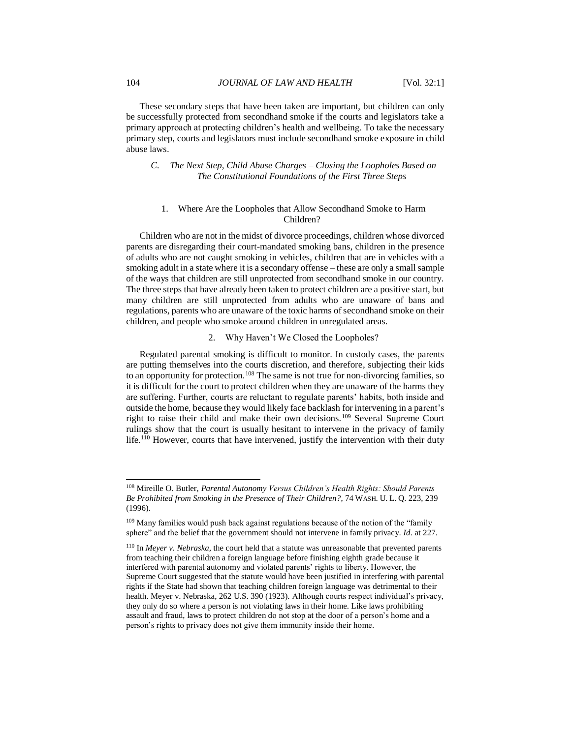These secondary steps that have been taken are important, but children can only be successfully protected from secondhand smoke if the courts and legislators take a primary approach at protecting children's health and wellbeing. To take the necessary primary step, courts and legislators must include secondhand smoke exposure in child abuse laws.

# *C. The Next Step, Child Abuse Charges – Closing the Loopholes Based on The Constitutional Foundations of the First Three Steps*

#### 1. Where Are the Loopholes that Allow Secondhand Smoke to Harm Children?

Children who are not in the midst of divorce proceedings, children whose divorced parents are disregarding their court-mandated smoking bans, children in the presence of adults who are not caught smoking in vehicles, children that are in vehicles with a smoking adult in a state where it is a secondary offense – these are only a small sample of the ways that children are still unprotected from secondhand smoke in our country. The three steps that have already been taken to protect children are a positive start, but many children are still unprotected from adults who are unaware of bans and regulations, parents who are unaware of the toxic harms of secondhand smoke on their children, and people who smoke around children in unregulated areas.

### 2. Why Haven't We Closed the Loopholes?

Regulated parental smoking is difficult to monitor. In custody cases, the parents are putting themselves into the courts discretion, and therefore, subjecting their kids to an opportunity for protection.<sup>108</sup> The same is not true for non-divorcing families, so it is difficult for the court to protect children when they are unaware of the harms they are suffering. Further, courts are reluctant to regulate parents' habits, both inside and outside the home, because they would likely face backlash for intervening in a parent's right to raise their child and make their own decisions.<sup>109</sup> Several Supreme Court rulings show that the court is usually hesitant to intervene in the privacy of family life.<sup>110</sup> However, courts that have intervened, justify the intervention with their duty

<sup>108</sup> Mireille O. Butler, *Parental Autonomy Versus Children's Health Rights: Should Parents Be Prohibited from Smoking in the Presence of Their Children?*, 74 WASH. U. L. Q. 223, 239 (1996).

<sup>109</sup> Many families would push back against regulations because of the notion of the "family sphere" and the belief that the government should not intervene in family privacy. *Id.* at 227.

<sup>110</sup> In *Meyer v. Nebraska,* the court held that a statute was unreasonable that prevented parents from teaching their children a foreign language before finishing eighth grade because it interfered with parental autonomy and violated parents' rights to liberty. However, the Supreme Court suggested that the statute would have been justified in interfering with parental rights if the State had shown that teaching children foreign language was detrimental to their health. Meyer v. Nebraska, 262 U.S. 390 (1923). Although courts respect individual's privacy, they only do so where a person is not violating laws in their home. Like laws prohibiting assault and fraud, laws to protect children do not stop at the door of a person's home and a person's rights to privacy does not give them immunity inside their home.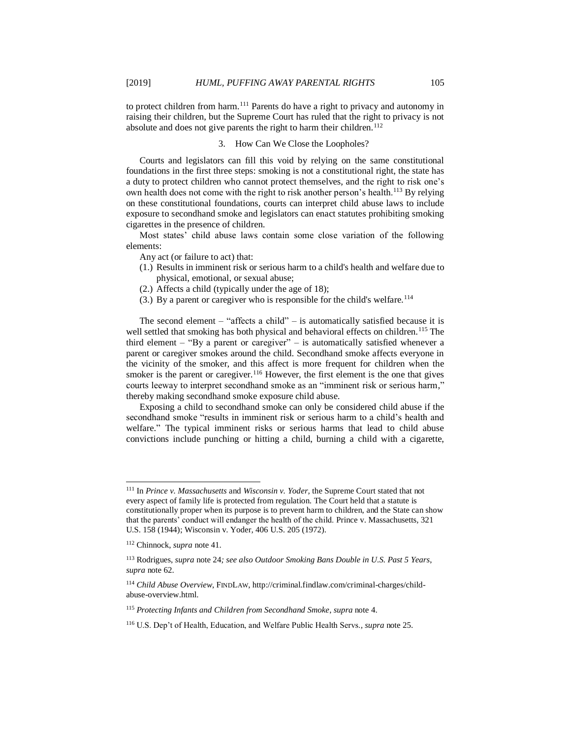to protect children from harm.<sup>111</sup> Parents do have a right to privacy and autonomy in raising their children, but the Supreme Court has ruled that the right to privacy is not absolute and does not give parents the right to harm their children.<sup>112</sup>

# 3. How Can We Close the Loopholes?

Courts and legislators can fill this void by relying on the same constitutional foundations in the first three steps: smoking is not a constitutional right, the state has a duty to protect children who cannot protect themselves, and the right to risk one's own health does not come with the right to risk another person's health.<sup>113</sup> By relying on these constitutional foundations, courts can interpret child abuse laws to include exposure to secondhand smoke and legislators can enact statutes prohibiting smoking cigarettes in the presence of children.

Most states' child abuse laws contain some close variation of the following elements:

Any act (or failure to act) that:

- (1.) Results in imminent risk or serious harm to a child's health and welfare due to physical, emotional, or sexual abuse;
- (2.) Affects a child (typically under the age of 18);
- (3.) By a parent or caregiver who is responsible for the child's welfare.<sup>114</sup>

The second element – "affects a child" – is automatically satisfied because it is well settled that smoking has both physical and behavioral effects on children.<sup>115</sup> The third element  $-$  "By a parent or caregiver"  $-$  is automatically satisfied whenever a parent or caregiver smokes around the child. Secondhand smoke affects everyone in the vicinity of the smoker, and this affect is more frequent for children when the smoker is the parent or caregiver.<sup>116</sup> However, the first element is the one that gives courts leeway to interpret secondhand smoke as an "imminent risk or serious harm," thereby making secondhand smoke exposure child abuse.

Exposing a child to secondhand smoke can only be considered child abuse if the secondhand smoke "results in imminent risk or serious harm to a child's health and welfare." The typical imminent risks or serious harms that lead to child abuse convictions include punching or hitting a child, burning a child with a cigarette,

<sup>111</sup> In *Prince v. Massachusetts* and *Wisconsin v. Yoder,* the Supreme Court stated that not every aspect of family life is protected from regulation. The Court held that a statute is constitutionally proper when its purpose is to prevent harm to children, and the State can show that the parents' conduct will endanger the health of the child. Prince v. Massachusetts*,* 321 U.S. 158 (1944); Wisconsin v. Yoder*,* 406 U.S. 205 (1972).

<sup>112</sup> Chinnock, *supra* note 41.

<sup>113</sup> Rodrigues, *supra* note 24*; see also Outdoor Smoking Bans Double in U.S. Past 5 Years*, *supra* note 62.

<sup>&</sup>lt;sup>114</sup> Child Abuse Overview, FINDLAW, http://criminal.findlaw.com/criminal-charges/childabuse-overview.html.

<sup>115</sup> *Protecting Infants and Children from Secondhand Smoke*, *supra* note 4.

<sup>116</sup> U.S. Dep't of Health, Education, and Welfare Public Health Servs.*, supra* note 25.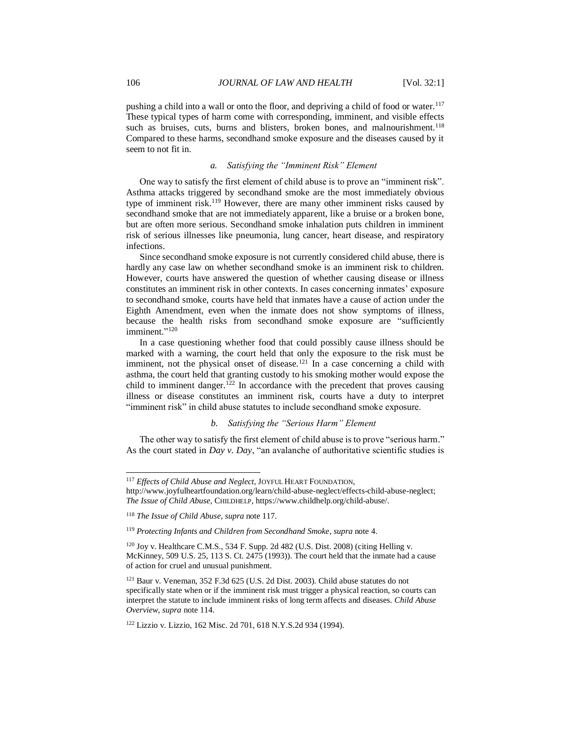pushing a child into a wall or onto the floor, and depriving a child of food or water.<sup>117</sup> These typical types of harm come with corresponding, imminent, and visible effects such as bruises, cuts, burns and blisters, broken bones, and malnourishment.<sup>118</sup> Compared to these harms, secondhand smoke exposure and the diseases caused by it seem to not fit in.

#### *a. Satisfying the "Imminent Risk" Element*

One way to satisfy the first element of child abuse is to prove an "imminent risk". Asthma attacks triggered by secondhand smoke are the most immediately obvious type of imminent risk.<sup>119</sup> However, there are many other imminent risks caused by secondhand smoke that are not immediately apparent, like a bruise or a broken bone, but are often more serious. Secondhand smoke inhalation puts children in imminent risk of serious illnesses like pneumonia, lung cancer, heart disease, and respiratory infections.

Since secondhand smoke exposure is not currently considered child abuse, there is hardly any case law on whether secondhand smoke is an imminent risk to children. However, courts have answered the question of whether causing disease or illness constitutes an imminent risk in other contexts. In cases concerning inmates' exposure to secondhand smoke, courts have held that inmates have a cause of action under the Eighth Amendment, even when the inmate does not show symptoms of illness, because the health risks from secondhand smoke exposure are "sufficiently imminent."<sup>120</sup>

In a case questioning whether food that could possibly cause illness should be marked with a warning, the court held that only the exposure to the risk must be imminent, not the physical onset of disease.<sup>121</sup> In a case concerning a child with asthma, the court held that granting custody to his smoking mother would expose the child to imminent danger.<sup>122</sup> In accordance with the precedent that proves causing illness or disease constitutes an imminent risk, courts have a duty to interpret "imminent risk" in child abuse statutes to include secondhand smoke exposure.

#### *b. Satisfying the "Serious Harm" Element*

The other way to satisfy the first element of child abuse is to prove "serious harm." As the court stated in *Day v. Day*, "an avalanche of authoritative scientific studies is

<sup>117</sup> *Effects of Child Abuse and Neglect,* JOYFUL HEART FOUNDATION,

http://www.joyfulheartfoundation.org/learn/child-abuse-neglect/effects-child-abuse-neglect; *The Issue of Child Abuse,* CHILDHELP, https://www.childhelp.org/child-abuse/.

<sup>118</sup> *The Issue of Child Abuse, supra* note 117.

<sup>119</sup> *Protecting Infants and Children from Secondhand Smoke*, *supra* note 4.

 $120$  Joy v. Healthcare C.M.S., 534 F. Supp. 2d 482 (U.S. Dist. 2008) (citing Helling v. McKinney, 509 U.S. 25, 113 S. Ct. 2475 (1993)). The court held that the inmate had a cause of action for cruel and unusual punishment.

<sup>121</sup> Baur v. Veneman, 352 F.3d 625 (U.S. 2d Dist. 2003). Child abuse statutes do not specifically state when or if the imminent risk must trigger a physical reaction, so courts can interpret the statute to include imminent risks of long term affects and diseases. *Child Abuse Overview*, *supra* note 114.

<sup>122</sup> Lizzio v. Lizzio, 162 Misc. 2d 701, 618 N.Y.S.2d 934 (1994).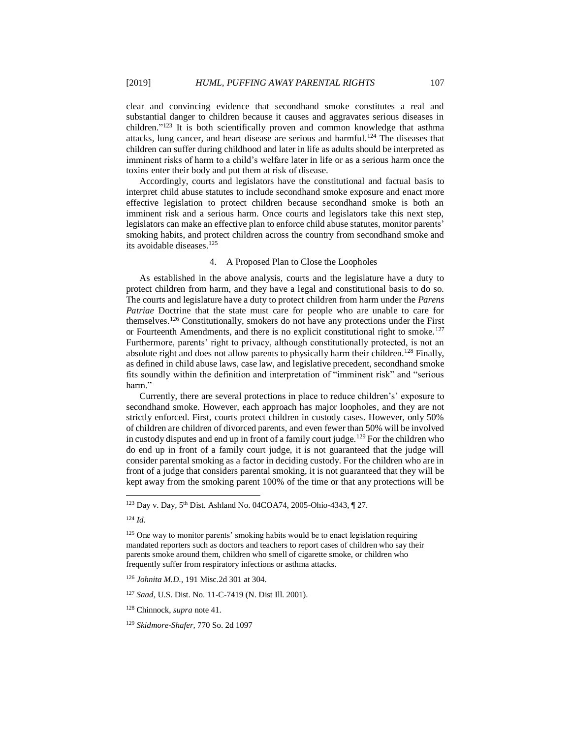clear and convincing evidence that secondhand smoke constitutes a real and substantial danger to children because it causes and aggravates serious diseases in children." <sup>123</sup> It is both scientifically proven and common knowledge that asthma attacks, lung cancer, and heart disease are serious and harmful.<sup>124</sup> The diseases that children can suffer during childhood and later in life as adults should be interpreted as imminent risks of harm to a child's welfare later in life or as a serious harm once the toxins enter their body and put them at risk of disease.

Accordingly, courts and legislators have the constitutional and factual basis to interpret child abuse statutes to include secondhand smoke exposure and enact more effective legislation to protect children because secondhand smoke is both an imminent risk and a serious harm. Once courts and legislators take this next step, legislators can make an effective plan to enforce child abuse statutes, monitor parents' smoking habits, and protect children across the country from secondhand smoke and its avoidable diseases.<sup>125</sup>

# 4. A Proposed Plan to Close the Loopholes

As established in the above analysis, courts and the legislature have a duty to protect children from harm, and they have a legal and constitutional basis to do so. The courts and legislature have a duty to protect children from harm under the *Parens Patriae* Doctrine that the state must care for people who are unable to care for themselves.<sup>126</sup> Constitutionally, smokers do not have any protections under the First or Fourteenth Amendments, and there is no explicit constitutional right to smoke.<sup>127</sup> Furthermore, parents' right to privacy, although constitutionally protected, is not an absolute right and does not allow parents to physically harm their children.<sup>128</sup> Finally, as defined in child abuse laws, case law, and legislative precedent, secondhand smoke fits soundly within the definition and interpretation of "imminent risk" and "serious harm."

Currently, there are several protections in place to reduce children's' exposure to secondhand smoke. However, each approach has major loopholes, and they are not strictly enforced. First, courts protect children in custody cases. However, only 50% of children are children of divorced parents, and even fewer than 50% will be involved in custody disputes and end up in front of a family court judge.<sup>129</sup> For the children who do end up in front of a family court judge, it is not guaranteed that the judge will consider parental smoking as a factor in deciding custody. For the children who are in front of a judge that considers parental smoking, it is not guaranteed that they will be kept away from the smoking parent 100% of the time or that any protections will be

<sup>&</sup>lt;sup>123</sup> Day v. Day, 5<sup>th</sup> Dist. Ashland No. 04COA74, 2005-Ohio-4343, ¶ 27.

<sup>124</sup> *Id.*

<sup>&</sup>lt;sup>125</sup> One way to monitor parents' smoking habits would be to enact legislation requiring mandated reporters such as doctors and teachers to report cases of children who say their parents smoke around them, children who smell of cigarette smoke, or children who frequently suffer from respiratory infections or asthma attacks.

<sup>126</sup> *Johnita M.D.*, 191 Misc.2d 301 at 304.

<sup>127</sup> *Saad*, U.S. Dist. No. 11-C-7419 (N. Dist Ill. 2001).

<sup>128</sup> Chinnock, *supra* note 41.

<sup>129</sup> *Skidmore-Shafer,* 770 So. 2d 1097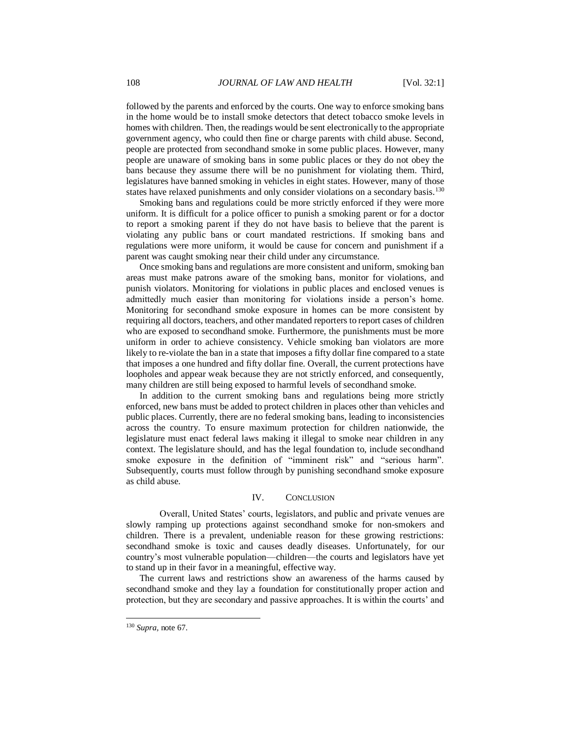followed by the parents and enforced by the courts. One way to enforce smoking bans in the home would be to install smoke detectors that detect tobacco smoke levels in homes with children. Then, the readings would be sent electronically to the appropriate government agency, who could then fine or charge parents with child abuse. Second, people are protected from secondhand smoke in some public places. However, many people are unaware of smoking bans in some public places or they do not obey the bans because they assume there will be no punishment for violating them. Third, legislatures have banned smoking in vehicles in eight states. However, many of those states have relaxed punishments and only consider violations on a secondary basis.<sup>130</sup>

Smoking bans and regulations could be more strictly enforced if they were more uniform. It is difficult for a police officer to punish a smoking parent or for a doctor to report a smoking parent if they do not have basis to believe that the parent is violating any public bans or court mandated restrictions. If smoking bans and regulations were more uniform, it would be cause for concern and punishment if a parent was caught smoking near their child under any circumstance.

Once smoking bans and regulations are more consistent and uniform, smoking ban areas must make patrons aware of the smoking bans, monitor for violations, and punish violators. Monitoring for violations in public places and enclosed venues is admittedly much easier than monitoring for violations inside a person's home. Monitoring for secondhand smoke exposure in homes can be more consistent by requiring all doctors, teachers, and other mandated reporters to report cases of children who are exposed to secondhand smoke. Furthermore, the punishments must be more uniform in order to achieve consistency. Vehicle smoking ban violators are more likely to re-violate the ban in a state that imposes a fifty dollar fine compared to a state that imposes a one hundred and fifty dollar fine. Overall, the current protections have loopholes and appear weak because they are not strictly enforced, and consequently, many children are still being exposed to harmful levels of secondhand smoke.

In addition to the current smoking bans and regulations being more strictly enforced, new bans must be added to protect children in places other than vehicles and public places. Currently, there are no federal smoking bans, leading to inconsistencies across the country. To ensure maximum protection for children nationwide, the legislature must enact federal laws making it illegal to smoke near children in any context. The legislature should, and has the legal foundation to, include secondhand smoke exposure in the definition of "imminent risk" and "serious harm". Subsequently, courts must follow through by punishing secondhand smoke exposure as child abuse.

#### IV. CONCLUSION

Overall, United States' courts, legislators, and public and private venues are slowly ramping up protections against secondhand smoke for non-smokers and children. There is a prevalent, undeniable reason for these growing restrictions: secondhand smoke is toxic and causes deadly diseases. Unfortunately, for our country's most vulnerable population—children—the courts and legislators have yet to stand up in their favor in a meaningful, effective way.

The current laws and restrictions show an awareness of the harms caused by secondhand smoke and they lay a foundation for constitutionally proper action and protection, but they are secondary and passive approaches. It is within the courts' and

<sup>130</sup> *Supra,* note 67.